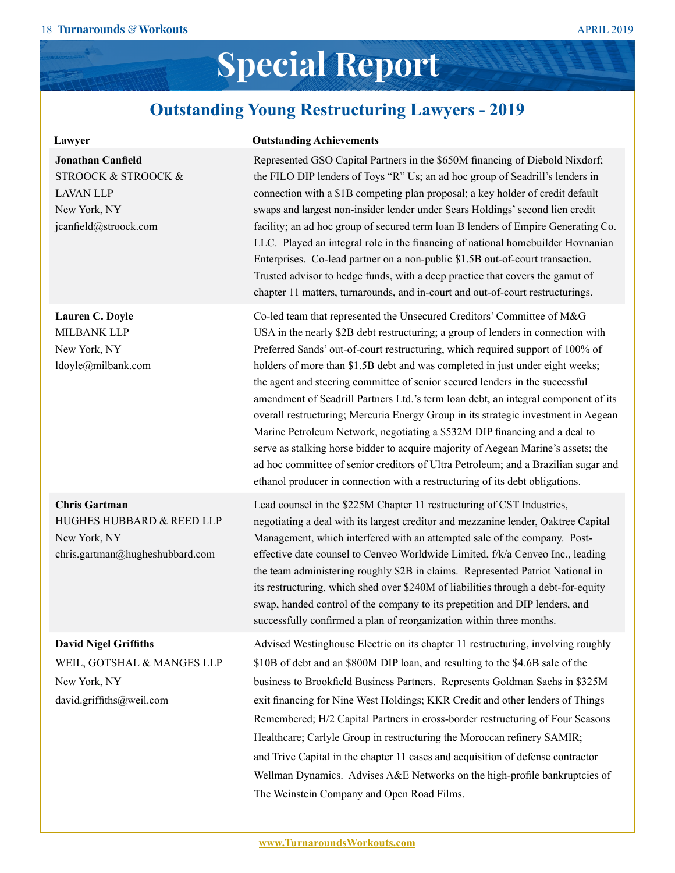### **Special Report**

### **Outstanding Young Restructuring Lawyers - 2019**

| Lawyer                                                                                                                      | <b>Outstanding Achievements</b>                                                                                                                                                                                                                                                                                                                                                                                                                                                                                                                                                                                                                                                                                                                                                                                                                                                                                                    |
|-----------------------------------------------------------------------------------------------------------------------------|------------------------------------------------------------------------------------------------------------------------------------------------------------------------------------------------------------------------------------------------------------------------------------------------------------------------------------------------------------------------------------------------------------------------------------------------------------------------------------------------------------------------------------------------------------------------------------------------------------------------------------------------------------------------------------------------------------------------------------------------------------------------------------------------------------------------------------------------------------------------------------------------------------------------------------|
| <b>Jonathan Canfield</b><br><b>STROOCK &amp; STROOCK &amp;</b><br><b>LAVAN LLP</b><br>New York, NY<br>jcanfield@stroock.com | Represented GSO Capital Partners in the \$650M financing of Diebold Nixdorf;<br>the FILO DIP lenders of Toys "R" Us; an ad hoc group of Seadrill's lenders in<br>connection with a \$1B competing plan proposal; a key holder of credit default<br>swaps and largest non-insider lender under Sears Holdings' second lien credit<br>facility; an ad hoc group of secured term loan B lenders of Empire Generating Co.<br>LLC. Played an integral role in the financing of national homebuilder Hovnanian<br>Enterprises. Co-lead partner on a non-public \$1.5B out-of-court transaction.<br>Trusted advisor to hedge funds, with a deep practice that covers the gamut of<br>chapter 11 matters, turnarounds, and in-court and out-of-court restructurings.                                                                                                                                                                       |
| Lauren C. Doyle<br>MILBANK LLP<br>New York, NY<br>ldoyle@milbank.com                                                        | Co-led team that represented the Unsecured Creditors' Committee of M&G<br>USA in the nearly \$2B debt restructuring; a group of lenders in connection with<br>Preferred Sands' out-of-court restructuring, which required support of 100% of<br>holders of more than \$1.5B debt and was completed in just under eight weeks;<br>the agent and steering committee of senior secured lenders in the successful<br>amendment of Seadrill Partners Ltd.'s term loan debt, an integral component of its<br>overall restructuring; Mercuria Energy Group in its strategic investment in Aegean<br>Marine Petroleum Network, negotiating a \$532M DIP financing and a deal to<br>serve as stalking horse bidder to acquire majority of Aegean Marine's assets; the<br>ad hoc committee of senior creditors of Ultra Petroleum; and a Brazilian sugar and<br>ethanol producer in connection with a restructuring of its debt obligations. |
| <b>Chris Gartman</b><br>HUGHES HUBBARD & REED LLP<br>New York, NY<br>chris.gartman@hugheshubbard.com                        | Lead counsel in the \$225M Chapter 11 restructuring of CST Industries,<br>negotiating a deal with its largest creditor and mezzanine lender, Oaktree Capital<br>Management, which interfered with an attempted sale of the company. Post-<br>effective date counsel to Cenveo Worldwide Limited, f/k/a Cenveo Inc., leading<br>the team administering roughly \$2B in claims. Represented Patriot National in<br>its restructuring, which shed over \$240M of liabilities through a debt-for-equity<br>swap, handed control of the company to its prepetition and DIP lenders, and<br>successfully confirmed a plan of reorganization within three months.                                                                                                                                                                                                                                                                         |
| <b>David Nigel Griffiths</b><br>WEIL, GOTSHAL & MANGES LLP<br>New York, NY<br>david.griffiths@weil.com                      | Advised Westinghouse Electric on its chapter 11 restructuring, involving roughly<br>\$10B of debt and an \$800M DIP loan, and resulting to the \$4.6B sale of the<br>business to Brookfield Business Partners. Represents Goldman Sachs in \$325M<br>exit financing for Nine West Holdings; KKR Credit and other lenders of Things<br>Remembered; H/2 Capital Partners in cross-border restructuring of Four Seasons<br>Healthcare; Carlyle Group in restructuring the Moroccan refinery SAMIR;<br>and Trive Capital in the chapter 11 cases and acquisition of defense contractor<br>Wellman Dynamics. Advises A&E Networks on the high-profile bankruptcies of<br>The Weinstein Company and Open Road Films.                                                                                                                                                                                                                     |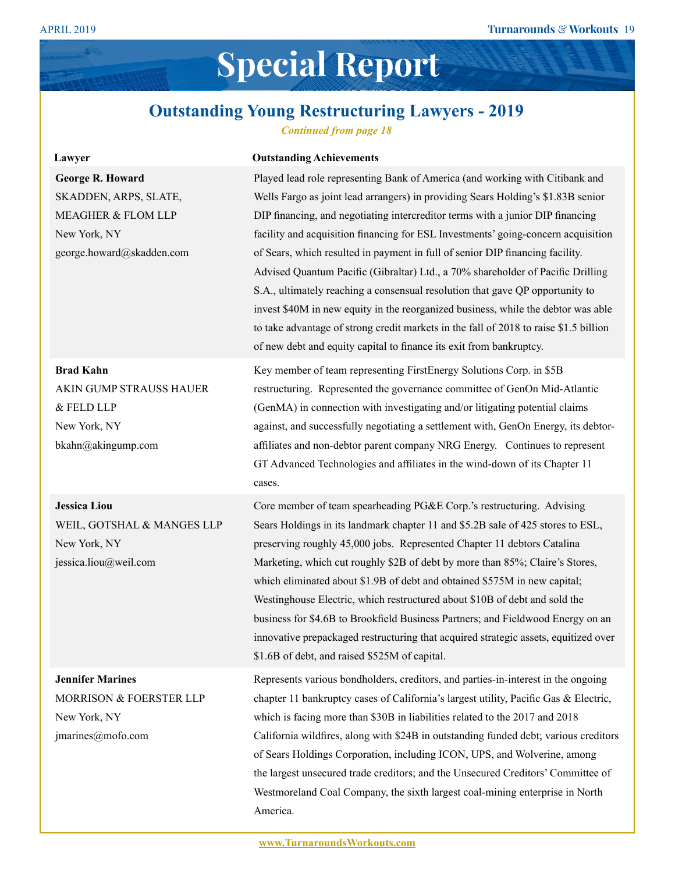# **Special Report**

#### **Outstanding Young Restructuring Lawyers - 2019**

*Continued from page 18*

| Lawyer                                                                                                              | <b>Outstanding Achievements</b>                                                                                                                                                                                                                                                                                                                                                                                                                                                                                                                                                                                                                                                                                                                                                                                                                   |
|---------------------------------------------------------------------------------------------------------------------|---------------------------------------------------------------------------------------------------------------------------------------------------------------------------------------------------------------------------------------------------------------------------------------------------------------------------------------------------------------------------------------------------------------------------------------------------------------------------------------------------------------------------------------------------------------------------------------------------------------------------------------------------------------------------------------------------------------------------------------------------------------------------------------------------------------------------------------------------|
| <b>George R. Howard</b><br>SKADDEN, ARPS, SLATE,<br>MEAGHER & FLOM LLP<br>New York, NY<br>george.howard@skadden.com | Played lead role representing Bank of America (and working with Citibank and<br>Wells Fargo as joint lead arrangers) in providing Sears Holding's \$1.83B senior<br>DIP financing, and negotiating intercreditor terms with a junior DIP financing<br>facility and acquisition financing for ESL Investments' going-concern acquisition<br>of Sears, which resulted in payment in full of senior DIP financing facility.<br>Advised Quantum Pacific (Gibraltar) Ltd., a 70% shareholder of Pacific Drilling<br>S.A., ultimately reaching a consensual resolution that gave QP opportunity to<br>invest \$40M in new equity in the reorganized business, while the debtor was able<br>to take advantage of strong credit markets in the fall of 2018 to raise \$1.5 billion<br>of new debt and equity capital to finance its exit from bankruptcy. |
| <b>Brad Kahn</b><br>AKIN GUMP STRAUSS HAUER<br>& FELD LLP<br>New York, NY<br>bkahn@akingump.com                     | Key member of team representing FirstEnergy Solutions Corp. in \$5B<br>restructuring. Represented the governance committee of GenOn Mid-Atlantic<br>(GenMA) in connection with investigating and/or litigating potential claims<br>against, and successfully negotiating a settlement with, GenOn Energy, its debtor-<br>affiliates and non-debtor parent company NRG Energy. Continues to represent<br>GT Advanced Technologies and affiliates in the wind-down of its Chapter 11<br>cases.                                                                                                                                                                                                                                                                                                                                                      |
| <b>Jessica Liou</b><br>WEIL, GOTSHAL & MANGES LLP<br>New York, NY<br>jessica.liou@weil.com                          | Core member of team spearheading PG&E Corp.'s restructuring. Advising<br>Sears Holdings in its landmark chapter 11 and \$5.2B sale of 425 stores to ESL,<br>preserving roughly 45,000 jobs. Represented Chapter 11 debtors Catalina<br>Marketing, which cut roughly \$2B of debt by more than 85%; Claire's Stores,<br>which eliminated about \$1.9B of debt and obtained \$575M in new capital;<br>Westinghouse Electric, which restructured about \$10B of debt and sold the<br>business for \$4.6B to Brookfield Business Partners; and Fieldwood Energy on an<br>innovative prepackaged restructuring that acquired strategic assets, equitized over<br>\$1.6B of debt, and raised \$525M of capital.                                                                                                                                         |
| <b>Jennifer Marines</b><br>MORRISON & FOERSTER LLP<br>New York, NY<br>jmarines@mofo.com                             | Represents various bondholders, creditors, and parties-in-interest in the ongoing<br>chapter 11 bankruptcy cases of California's largest utility, Pacific Gas & Electric,<br>which is facing more than \$30B in liabilities related to the 2017 and 2018<br>California wildfires, along with \$24B in outstanding funded debt; various creditors<br>of Sears Holdings Corporation, including ICON, UPS, and Wolverine, among<br>the largest unsecured trade creditors; and the Unsecured Creditors' Committee of<br>Westmoreland Coal Company, the sixth largest coal-mining enterprise in North<br>America.                                                                                                                                                                                                                                      |